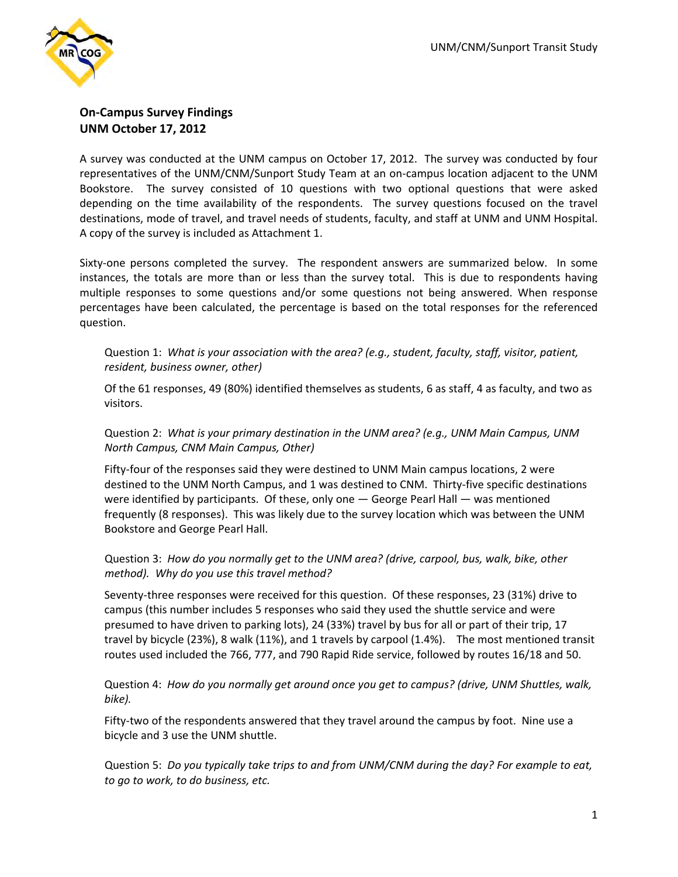

# **On‐Campus Survey Findings UNM October 17, 2012**

A survey was conducted at the UNM campus on October 17, 2012. The survey was conducted by four representatives of the UNM/CNM/Sunport Study Team at an on‐campus location adjacent to the UNM Bookstore. The survey consisted of 10 questions with two optional questions that were asked depending on the time availability of the respondents. The survey questions focused on the travel destinations, mode of travel, and travel needs of students, faculty, and staff at UNM and UNM Hospital. A copy of the survey is included as Attachment 1.

Sixty-one persons completed the survey. The respondent answers are summarized below. In some instances, the totals are more than or less than the survey total. This is due to respondents having multiple responses to some questions and/or some questions not being answered. When response percentages have been calculated, the percentage is based on the total responses for the referenced question.

## Question 1: *What is your association with the area? (e.g., student, faculty, staff, visitor, patient, resident, business owner, other)*

Of the 61 responses, 49 (80%) identified themselves as students, 6 as staff, 4 as faculty, and two as visitors.

# Question 2: *What is your primary destination in the UNM area? (e.g., UNM Main Campus, UNM North Campus, CNM Main Campus, Other)*

Fifty-four of the responses said they were destined to UNM Main campus locations, 2 were destined to the UNM North Campus, and 1 was destined to CNM. Thirty-five specific destinations were identified by participants. Of these, only one — George Pearl Hall — was mentioned frequently (8 responses). This was likely due to the survey location which was between the UNM Bookstore and George Pearl Hall.

#### Question 3: *How do you normally get to the UNM area? (drive, carpool, bus, walk, bike, other method). Why do you use this travel method?*

Seventy‐three responses were received for this question. Of these responses, 23 (31%) drive to campus (this number includes 5 responses who said they used the shuttle service and were presumed to have driven to parking lots), 24 (33%) travel by bus for all or part of their trip, 17 travel by bicycle (23%), 8 walk (11%), and 1 travels by carpool (1.4%). The most mentioned transit routes used included the 766, 777, and 790 Rapid Ride service, followed by routes 16/18 and 50.

Question 4: *How do you normally get around once you get to campus? (drive, UNM Shuttles, walk, bike).*

Fifty-two of the respondents answered that they travel around the campus by foot. Nine use a bicycle and 3 use the UNM shuttle.

Question 5: *Do you typically take trips to and from UNM/CNM during the day? For example to eat, to go to work, to do business, etc.*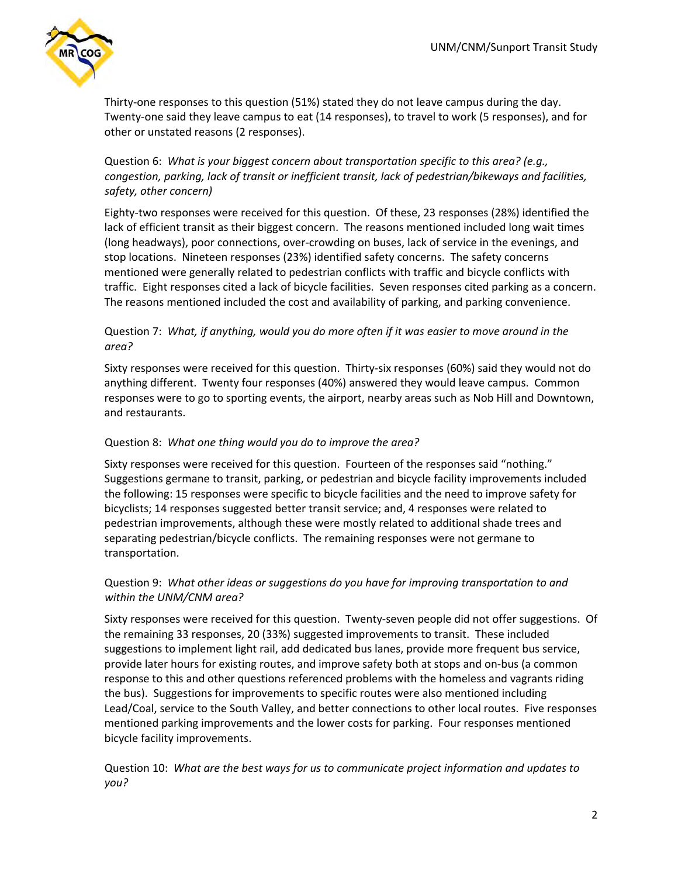

Thirty‐one responses to this question (51%) stated they do not leave campus during the day. Twenty‐one said they leave campus to eat (14 responses), to travel to work (5 responses), and for other or unstated reasons (2 responses).

Question 6: *What is your biggest concern about transportation specific to this area? (e.g., congestion, parking, lack of transit or inefficient transit, lack of pedestrian/bikeways and facilities, safety, other concern)*

Eighty‐two responses were received for this question. Of these, 23 responses (28%) identified the lack of efficient transit as their biggest concern. The reasons mentioned included long wait times (long headways), poor connections, over‐crowding on buses, lack of service in the evenings, and stop locations. Nineteen responses (23%) identified safety concerns. The safety concerns mentioned were generally related to pedestrian conflicts with traffic and bicycle conflicts with traffic. Eight responses cited a lack of bicycle facilities. Seven responses cited parking as a concern. The reasons mentioned included the cost and availability of parking, and parking convenience.

# Question 7: *What, if anything, would you do more often if it was easier to move around in the area?*

Sixty responses were received for this question. Thirty‐six responses (60%) said they would not do anything different. Twenty four responses (40%) answered they would leave campus. Common responses were to go to sporting events, the airport, nearby areas such as Nob Hill and Downtown, and restaurants.

## Question 8: *What one thing would you do to improve the area?*

Sixty responses were received for this question. Fourteen of the responses said "nothing." Suggestions germane to transit, parking, or pedestrian and bicycle facility improvements included the following: 15 responses were specific to bicycle facilities and the need to improve safety for bicyclists; 14 responses suggested better transit service; and, 4 responses were related to pedestrian improvements, although these were mostly related to additional shade trees and separating pedestrian/bicycle conflicts. The remaining responses were not germane to transportation.

#### Question 9: *What other ideas or suggestions do you have for improving transportation to and within the UNM/CNM area?*

Sixty responses were received for this question. Twenty‐seven people did not offer suggestions. Of the remaining 33 responses, 20 (33%) suggested improvements to transit. These included suggestions to implement light rail, add dedicated bus lanes, provide more frequent bus service, provide later hours for existing routes, and improve safety both at stops and on‐bus (a common response to this and other questions referenced problems with the homeless and vagrants riding the bus). Suggestions for improvements to specific routes were also mentioned including Lead/Coal, service to the South Valley, and better connections to other local routes. Five responses mentioned parking improvements and the lower costs for parking. Four responses mentioned bicycle facility improvements.

Question 10: *What are the best ways for us to communicate project information and updates to you?*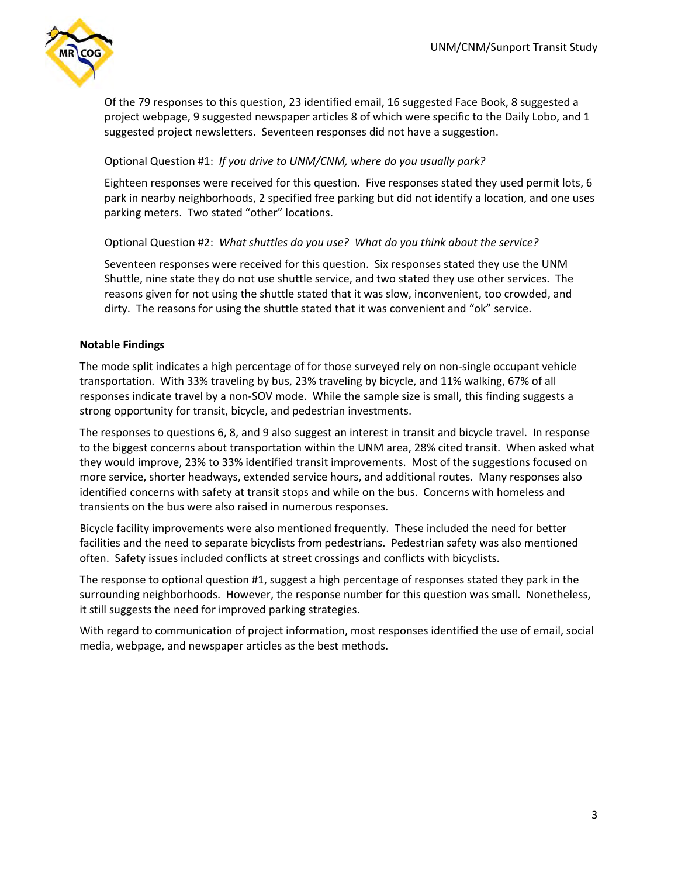

Of the 79 responses to this question, 23 identified email, 16 suggested Face Book, 8 suggested a project webpage, 9 suggested newspaper articles 8 of which were specific to the Daily Lobo, and 1 suggested project newsletters. Seventeen responses did not have a suggestion.

## Optional Question #1: *If you drive to UNM/CNM, where do you usually park?*

Eighteen responses were received for this question. Five responses stated they used permit lots, 6 park in nearby neighborhoods, 2 specified free parking but did not identify a location, and one uses parking meters. Two stated "other" locations.

#### Optional Question #2: *What shuttles do you use? What do you think about the service?*

Seventeen responses were received for this question. Six responses stated they use the UNM Shuttle, nine state they do not use shuttle service, and two stated they use other services. The reasons given for not using the shuttle stated that it was slow, inconvenient, too crowded, and dirty. The reasons for using the shuttle stated that it was convenient and "ok" service.

#### **Notable Findings**

The mode split indicates a high percentage of for those surveyed rely on non‐single occupant vehicle transportation. With 33% traveling by bus, 23% traveling by bicycle, and 11% walking, 67% of all responses indicate travel by a non‐SOV mode. While the sample size is small, this finding suggests a strong opportunity for transit, bicycle, and pedestrian investments.

The responses to questions 6, 8, and 9 also suggest an interest in transit and bicycle travel. In response to the biggest concerns about transportation within the UNM area, 28% cited transit. When asked what they would improve, 23% to 33% identified transit improvements. Most of the suggestions focused on more service, shorter headways, extended service hours, and additional routes. Many responses also identified concerns with safety at transit stops and while on the bus. Concerns with homeless and transients on the bus were also raised in numerous responses.

Bicycle facility improvements were also mentioned frequently. These included the need for better facilities and the need to separate bicyclists from pedestrians. Pedestrian safety was also mentioned often. Safety issues included conflicts at street crossings and conflicts with bicyclists.

The response to optional question #1, suggest a high percentage of responses stated they park in the surrounding neighborhoods. However, the response number for this question was small. Nonetheless, it still suggests the need for improved parking strategies.

With regard to communication of project information, most responses identified the use of email, social media, webpage, and newspaper articles as the best methods.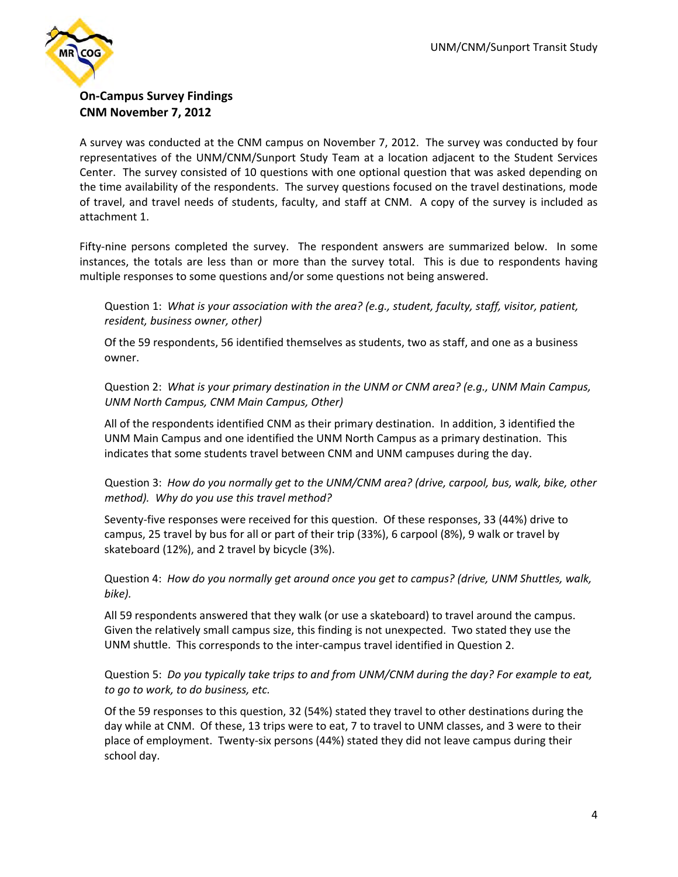

# **On‐Campus Survey Findings CNM November 7, 2012**

A survey was conducted at the CNM campus on November 7, 2012. The survey was conducted by four representatives of the UNM/CNM/Sunport Study Team at a location adjacent to the Student Services Center. The survey consisted of 10 questions with one optional question that was asked depending on the time availability of the respondents. The survey questions focused on the travel destinations, mode of travel, and travel needs of students, faculty, and staff at CNM. A copy of the survey is included as attachment 1.

Fifty-nine persons completed the survey. The respondent answers are summarized below. In some instances, the totals are less than or more than the survey total. This is due to respondents having multiple responses to some questions and/or some questions not being answered.

Question 1: *What is your association with the area? (e.g., student, faculty, staff, visitor, patient, resident, business owner, other)*

Of the 59 respondents, 56 identified themselves as students, two as staff, and one as a business owner.

Question 2: *What is your primary destination in the UNM or CNM area? (e.g., UNM Main Campus, UNM North Campus, CNM Main Campus, Other)*

All of the respondents identified CNM as their primary destination. In addition, 3 identified the UNM Main Campus and one identified the UNM North Campus as a primary destination. This indicates that some students travel between CNM and UNM campuses during the day.

Question 3: *How do you normally get to the UNM/CNM area? (drive, carpool, bus, walk, bike, other method). Why do you use this travel method?*

Seventy‐five responses were received for this question. Of these responses, 33 (44%) drive to campus, 25 travel by bus for all or part of their trip (33%), 6 carpool (8%), 9 walk or travel by skateboard (12%), and 2 travel by bicycle (3%).

Question 4: *How do you normally get around once you get to campus? (drive, UNM Shuttles, walk, bike).*

All 59 respondents answered that they walk (or use a skateboard) to travel around the campus. Given the relatively small campus size, this finding is not unexpected. Two stated they use the UNM shuttle. This corresponds to the inter‐campus travel identified in Question 2.

Question 5: *Do you typically take trips to and from UNM/CNM during the day? For example to eat, to go to work, to do business, etc.*

Of the 59 responses to this question, 32 (54%) stated they travel to other destinations during the day while at CNM. Of these, 13 trips were to eat, 7 to travel to UNM classes, and 3 were to their place of employment. Twenty‐six persons (44%) stated they did not leave campus during their school day.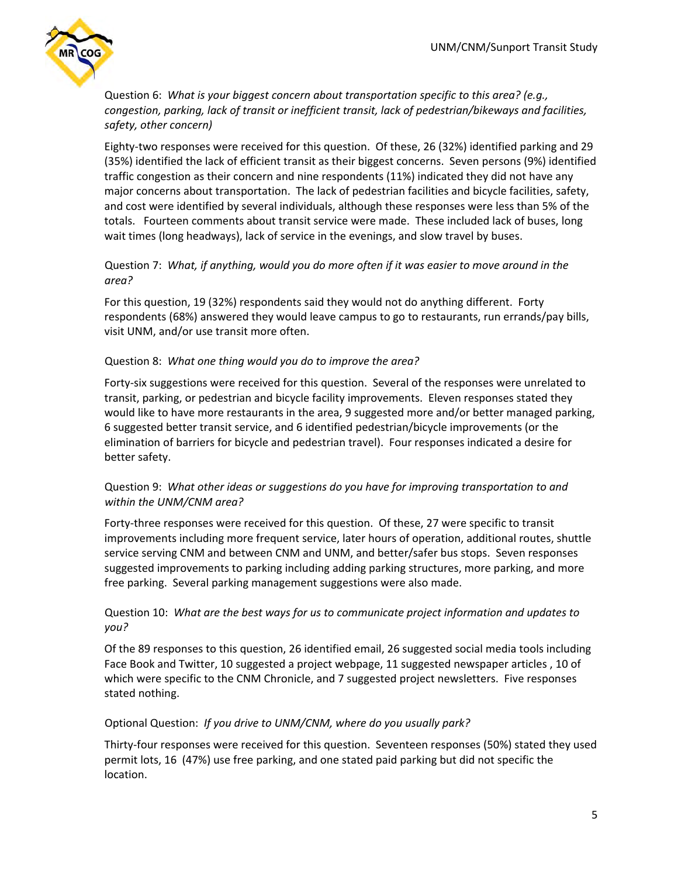

Question 6: *What is your biggest concern about transportation specific to this area? (e.g., congestion, parking, lack of transit or inefficient transit, lack of pedestrian/bikeways and facilities, safety, other concern)*

Eighty‐two responses were received for this question. Of these, 26 (32%) identified parking and 29 (35%) identified the lack of efficient transit as their biggest concerns. Seven persons (9%) identified traffic congestion as their concern and nine respondents (11%) indicated they did not have any major concerns about transportation. The lack of pedestrian facilities and bicycle facilities, safety, and cost were identified by several individuals, although these responses were less than 5% of the totals. Fourteen comments about transit service were made. These included lack of buses, long wait times (long headways), lack of service in the evenings, and slow travel by buses.

# Question 7: *What, if anything, would you do more often if it was easier to move around in the area?*

For this question, 19 (32%) respondents said they would not do anything different. Forty respondents (68%) answered they would leave campus to go to restaurants, run errands/pay bills, visit UNM, and/or use transit more often.

#### Question 8: *What one thing would you do to improve the area?*

Forty-six suggestions were received for this question. Several of the responses were unrelated to transit, parking, or pedestrian and bicycle facility improvements. Eleven responses stated they would like to have more restaurants in the area, 9 suggested more and/or better managed parking, 6 suggested better transit service, and 6 identified pedestrian/bicycle improvements (or the elimination of barriers for bicycle and pedestrian travel). Four responses indicated a desire for better safety.

# Question 9: *What other ideas or suggestions do you have for improving transportation to and within the UNM/CNM area?*

Forty-three responses were received for this question. Of these, 27 were specific to transit improvements including more frequent service, later hours of operation, additional routes, shuttle service serving CNM and between CNM and UNM, and better/safer bus stops. Seven responses suggested improvements to parking including adding parking structures, more parking, and more free parking. Several parking management suggestions were also made.

# Question 10: *What are the best ways for us to communicate project information and updates to you?*

Of the 89 responses to this question, 26 identified email, 26 suggested social media tools including Face Book and Twitter, 10 suggested a project webpage, 11 suggested newspaper articles , 10 of which were specific to the CNM Chronicle, and 7 suggested project newsletters. Five responses stated nothing.

#### Optional Question: *If you drive to UNM/CNM, where do you usually park?*

Thirty‐four responses were received for this question. Seventeen responses (50%) stated they used permit lots, 16 (47%) use free parking, and one stated paid parking but did not specific the location.